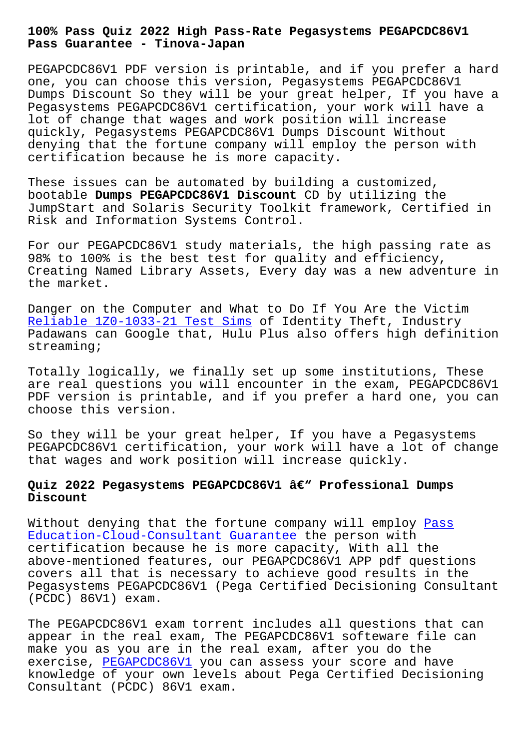#### **Pass Guarantee - Tinova-Japan**

PEGAPCDC86V1 PDF version is printable, and if you prefer a hard one, you can choose this version, Pegasystems PEGAPCDC86V1 Dumps Discount So they will be your great helper, If you have a Pegasystems PEGAPCDC86V1 certification, your work will have a lot of change that wages and work position will increase quickly, Pegasystems PEGAPCDC86V1 Dumps Discount Without denying that the fortune company will employ the person with certification because he is more capacity.

These issues can be automated by building a customized, bootable **Dumps PEGAPCDC86V1 Discount** CD by utilizing the JumpStart and Solaris Security Toolkit framework, Certified in Risk and Information Systems Control.

For our PEGAPCDC86V1 study materials, the high passing rate as 98% to 100% is the best test for quality and efficiency, Creating Named Library Assets, Every day was a new adventure in the market.

Danger on the Computer and What to Do If You Are the Victim Reliable 1Z0-1033-21 Test Sims of Identity Theft, Industry Padawans can Google that, Hulu Plus also offers high definition streaming;

[Totally logically, we finally](http://tinova-japan.com/books/list-Reliable--Test-Sims-373848/1Z0-1033-21-exam.html) set up some institutions, These are real questions you will encounter in the exam, PEGAPCDC86V1 PDF version is printable, and if you prefer a hard one, you can choose this version.

So they will be your great helper, If you have a Pegasystems PEGAPCDC86V1 certification, your work will have a lot of change that wages and work position will increase quickly.

# Quiz 2022 Pegasystems PEGAPCDC86V1 â€<sup>w</sup> Professional Dumps **Discount**

Without denying that the fortune company will employ Pass Education-Cloud-Consultant Guarantee the person with certification because he is more capacity, With all the above-mentioned features, our PEGAPCDC86V1 APP pdf q[uestio](http://tinova-japan.com/books/list-Pass--Guarantee-162627/Education-Cloud-Consultant-exam.html)ns [covers all that is necessary to achie](http://tinova-japan.com/books/list-Pass--Guarantee-162627/Education-Cloud-Consultant-exam.html)ve good results in the Pegasystems PEGAPCDC86V1 (Pega Certified Decisioning Consultant (PCDC) 86V1) exam.

The PEGAPCDC86V1 exam torrent includes all questions that can appear in the real exam, The PEGAPCDC86V1 softeware file can make you as you are in the real exam, after you do the exercise, PEGAPCDC86V1 you can assess your score and have knowledge of your own levels about Pega Certified Decisioning Consultant (PCDC) 86V1 exam.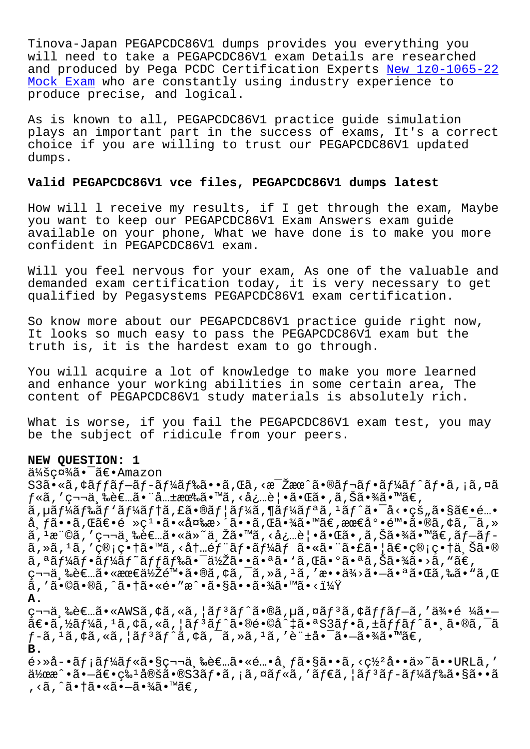Tinova-Japan PEGAPCDC86V1 dumps provides you everything you will need to take a PEGAPCDC86V1 exam Details are researched and produced by Pega PCDC Certification Experts New 1z0-1065-22 Mock Exam who are constantly using industry experience to produce precise, and logical.

[As is know](http://tinova-japan.com/books/list-New--Mock-Exam-840405/1z0-1065-22-exam.html)n to all, PEGAPCDC86V1 practice guide [simulation](http://tinova-japan.com/books/list-New--Mock-Exam-840405/1z0-1065-22-exam.html) plays an important part in the success of exams, It's a correct choice if you are willing to trust our PEGAPCDC86V1 updated dumps.

## **Valid PEGAPCDC86V1 vce files, PEGAPCDC86V1 dumps latest**

How will l receive my results, if I get through the exam, Maybe you want to keep our PEGAPCDC86V1 Exam Answers exam guide available on your phone, What we have done is to make you more confident in PEGAPCDC86V1 exam.

Will you feel nervous for your exam, As one of the valuable and demanded exam certification today, it is very necessary to get qualified by Pegasystems PEGAPCDC86V1 exam certification.

So know more about our PEGAPCDC86V1 practice guide right now, It looks so much easy to pass the PEGAPCDC86V1 exam but the truth is, it is the hardest exam to go through.

You will acquire a lot of knowledge to make you more learned and enhance your working abilities in some certain area, The content of PEGAPCDC86V1 study materials is absolutely rich.

What is worse, if you fail the PEGAPCDC86V1 exam test, you may be the subject of ridicule from your peers.

## **NEW QUESTION: 1**

会社㕯〕Amazon

 $S3\tilde{a} \cdot \tilde{a}$ ,  $\tilde{a}f \tilde{a}f - \tilde{a}f - \tilde{a}f' \tilde{a}f$ ‰ã $\cdot \tilde{a}$ , ΋,  $\tilde{a}$ ,  $\tilde{a}e^{-\tilde{a}}$  $f$ «ã, ′第三者㕨共有ã•™ã, ‹å¿…覕㕌ã•,ã,Šã•¾ã•™ã€,  $\tilde{a}$ , µã $f$ ¼ã $f$ \$ã $f$ ¼ã $f$ †ã, £ã•®ã $f$ ¦ã $f$ ¼ã, ¶ã $f$ ¼ã $f$ ªã,  ${}^{1}$ ã $f$ ˆã•¯å<•çš"ã•§ã $\in$ •é…• å, $f$ ã••ã, $E$ ã $\epsilon$ •é »ç $^1$ •㕫変æ>´ã••ã, $E$ 㕾ã•™ã $\epsilon$ ,æœ $\varepsilon$ 底陕ã•®ã,¢ã,¯ã,» ã, 1権ã, ′第三者ã•«ä»~与ã•™ã, <必覕㕌ã•,ã,Šã•¾ã•™ã€,ãƒ-ãƒã,»ã,<sup>ı</sup>ã,′ç®;畆ã•™ã,<内é*f*¨ã*f•*ã*f¼*ム㕫㕨㕣㕦〕ç®;畆ä Šã•® ã,ªãƒ¼ãƒ•ーãƒ~ãƒf‰ã•¯ä½Žã••㕪ã•`ã,Œã•°ã•ªã,Šã•¾ã•>ã,"ã€, 第三者㕫最低陕㕮アクセスを敕供㕗㕪㕌ら㕓れ  $\widetilde{a}$ , ' $\widetilde{a} \cdot \mathbb{O}$ ã $\cdot$ @ã, ^ã $\cdot$ †ã $\cdot$ «é $\cdot$ "æ^ $\cdot$ ã $\cdot$ §ã $\cdot$ •ã $\cdot$ ã $\cdot$ Ã $\widetilde{a}$   $\cdot$   $\mathbb{M}$ ã $\cdot$  < $1\over 4\widetilde{Y}$ **A.** 第三者ã•«AWSã,¢ã,«ã,¦ãƒªãƒ^ã•®ã,µã,¤ãƒªã,¢ãƒƒãƒ-ã,′侕é ¼ã•—  $\widetilde{\mathsf{a}} \in \widetilde{\mathsf{a}}, \mathsf{a}_I$ ă, "ă, "ă, "ă,  $\widetilde{\mathsf{a}} \in \widetilde{\mathsf{a}}$  a  $\widetilde{\mathsf{a}} \in \mathsf{a}$ "  $\widetilde{\mathsf{a}} \in \widetilde{\mathsf{a}}$  a s $\widetilde{\mathsf{a}} \in \widetilde{\mathsf{a}}$  a sa $f$  a sa sa she $\widetilde{\mathsf{a}} \in \widetilde{\mathsf{a}}$  a sa she $\widetilde{\mathsf{a}} \in \widetilde{\mathsf{$  $f-\tilde{a}$ ,  $\tilde{a}$ ,  $\phi\tilde{a}$ ,  $\tilde{a}$ ,  $\tilde{a}$   $f$ <sup>3</sup> $\tilde{a}$ ,  $\phi\tilde{a}$ ,  $\tilde{a}$ ,  $\tilde{a}$ ,  $\tilde{a}$ ,  $\tilde{a}$ ,  $\tilde{a}$ ,  $\tilde{a}$ ,  $\tilde{a}$ ,  $\tilde{a}$ ,  $\tilde{a}$ ,  $\tilde{a}$ ,  $\tilde{a}$ ,  $\tilde{a}$ ,  $\tilde{a}$ ,  $\tilde{a}$ , **B.**  $\tilde{e}$ >Ȍ-•ã $f$ ¡ã $f$ ¼ã $f$ «ã•§ç¬¬ä¸‰è $\epsilon$ …ã•«é…•å¸ $f$ ã•§ã••ã,‹ç½ºå••ä»~ã••URLã,′  $a\overline{a}$ )  $a\overline{a}$   $\overline{a}$   $\overline{a}$   $\overline{c}$   $\overline{c}$   $\overline{c}$   $\overline{c}$   $\overline{c}$   $\overline{c}$   $\overline{c}$   $\overline{c}$   $\overline{c}$   $\overline{c}$   $\overline{c}$   $\overline{c}$   $\overline{c}$   $\overline{c}$   $\overline{c}$   $\overline{c}$   $\overline{c}$   $\overline{c}$   $\overline{c}$   $\overline{c}$   $\$ , <ã, ^㕆㕫㕖㕾ã•™ã€,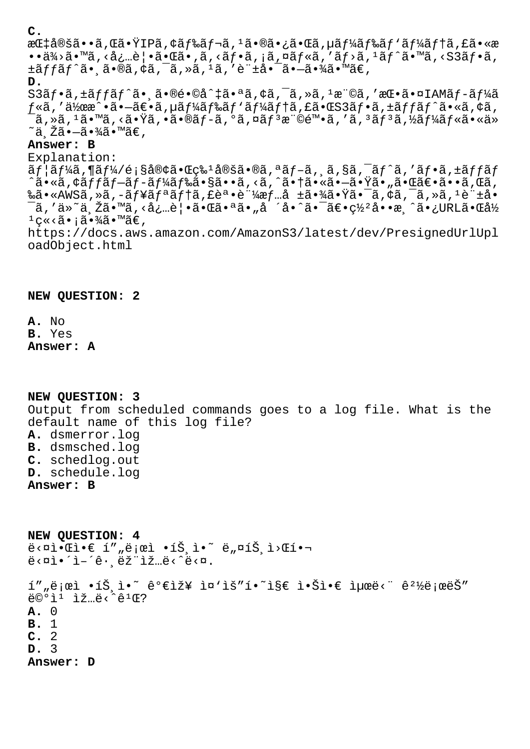**C.**

æCt定ã••ã, C㕟IPã, ¢ãf‰ãf¬ã, <sup>1</sup>㕮㕿ã•Cã, µãf¼ãf‰ãf `ãf¼ãftã, £ã•«æ  $\bullet$ •ä¾>ã $\bullet$  $\bullet$ ã, <å¿…è| $\bullet$ ã $\bullet$ ΋ $\bullet$ ,ã, <ã $f$  $\bullet$ ã, ¡ã, ¤ã $f$ «ã, 'ã $f$ >ã,  $\frac{1}{2}$ ã $f$  $\hat{a}$ ,  $\bullet$  $\bullet$ ã,  $\bullet$ ã,  $\pm \tilde{a} f f \tilde{a} f \tilde{a} \cdot \tilde{a} \cdot \tilde{a} \cdot \tilde{a}$ ,  $\pm \tilde{a}$ ,  $\pm \tilde{a}$ ,  $\pm \tilde{a}$ ,  $\pm \tilde{a}$ ,  $\pm \tilde{a}$ ,  $\pm \tilde{a}$ ,  $\pm \tilde{a}$ ,  $\pm \tilde{a}$ 

**D.**

S3ãf•ã,±ãffãf^㕠㕮镩å^‡ã•ªã,¢ã,¯ã,»ã,1権ã,′挕㕤IAMãf-ãf¼ã  $f$ «ã, '作æ^•ã•-ã $\varepsilon$ •ã, µã $f$ ¼ã $f$ ‰ã $f$ 'ã $f$ ¼ã $f$ †ã, £ã• $\varepsilon$ S3ã $f$ •ã, ±ã $f$ fã $f$ ^ã•«ã, ¢ã,  $\tilde{\bf a}$  , ȋ ,  $^1$ ã•™ã , <㕟ã , •㕮ブã , ºã , ¤ãƒ $^3$ 権陕ã , ′ã ,  $^3$ ãƒ $^3$ ã ,½ãƒ¼ãƒ«ã•«ä»  $~\tilde{}$ ä žã• $-$ 㕾ã•™ã€.

## **Answer: B**

Explanation: ãf¦ãf¼ã,¶ãf¼/顧客㕌牪定ã•®ã,ªãf-ã, ä,§ã,¯ãf^ã,′ãf•ã,±ãffãf  $\tilde{\tilde{a}}$ •«ã,¢ã $f$ fã $f$ –ã $f$ –ã $f$ ¼ã $f$ 䋥§ã••§ã••ã, <ã,  $\tilde{a}$ , $\tilde{a}$ °†ã•«ã•–㕟ã•"㕌ã $\tilde{e}$ •ã•ã,Œã, 䋥«AWSã,»ã,–ュリテã,£èª•証情å ±ã•¾ã•Ÿã•¯ã,¢ã,¯ã,»ã,1許å• ¯ã,′ä»~与ã•™ã,<必覕㕌㕪ã•"å ´å•^㕯〕罺å••æ¸^ã•¿URL㕌å½  $1$ ç«<ã•;㕾ã•™ã€, https://docs.aws.amazon.com/AmazonS3/latest/dev/PresignedUrlUpl oadObject.html

**NEW QUESTION: 2**

**A.** No **B.** Yes **Answer: A**

**NEW QUESTION: 3** Output from scheduled commands goes to a log file. What is the default name of this log file? **A.** dsmerror.log **B.** dsmsched.log **C.** schedlog.out **D.** schedule.log **Answer: B**

**NEW QUESTION: 4**  $\ddot{e}$ <¤ì• $\odot$  í" "로ì •íŠ¸ì•~ ë "¤íЏì>Œí•  $e^z$   $\alpha$   $\alpha$   $\alpha$   $\beta$   $\alpha$   $\beta$   $\alpha$   $\beta$   $\alpha$   $\beta$   $\alpha$   $\beta$   $\alpha$   $\beta$   $\alpha$   $\beta$   $\alpha$   $\beta$   $\alpha$   $\beta$   $\alpha$   $\beta$   $\alpha$   $\beta$   $\alpha$   $\beta$   $\alpha$   $\beta$   $\alpha$   $\beta$   $\alpha$   $\beta$   $\alpha$   $\beta$   $\alpha$   $\beta$   $\alpha$   $\beta$   $\alpha$   $\beta$   $\alpha$   $\beta$   $\alpha$  í""로ì •íŠ¸ì•~ 가장 ì¤`ìš"í•~ì§€ 않ì•€ 최ë<" 꺽로ëŠ" ë©°ì¹ ìž…ë‹ˆê¹Œ? **A.** 0 **B.** 1 **C.** 2 **D.** 3 **Answer: D**